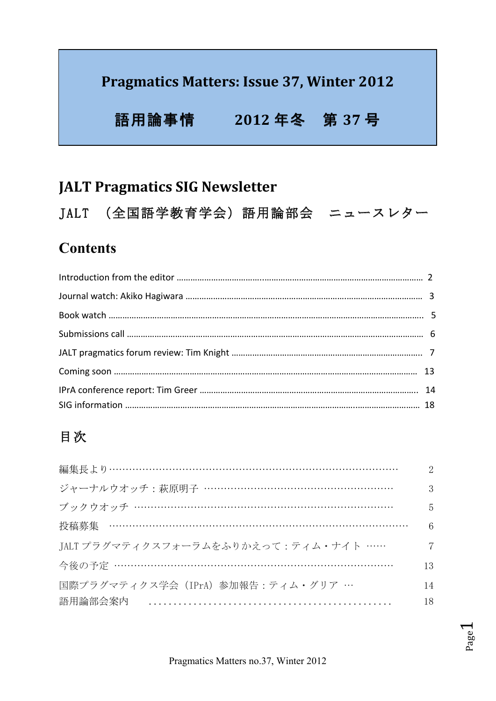### Pragmatics Matters: Issue 37, Winter 2012

## 語用論事情 2012年冬 第 37 号

## **JALT Pragmatics SIG Newsletter**

JALT (全国語学教育学会)語用論部会 ニュースレター

### **Contents**

## 目次

| 編集長より……………………………………………………………………………   |    |
|--------------------------------------|----|
| ジャーナルウオッチ:萩原明子 …………………………………………………   |    |
| ブックウオッチ …………………………………………………………………    |    |
| 投稿募集 ………………………………………………………………………………  |    |
| JALT プラグマティクスフォーラムをふりかえって:ティム・ナイト …… |    |
|                                      |    |
| 国際プラグマティクス学会 (IPrA) 参加報告:ティム・グリア …   | 14 |
| 語用論部会案内                              | 18 |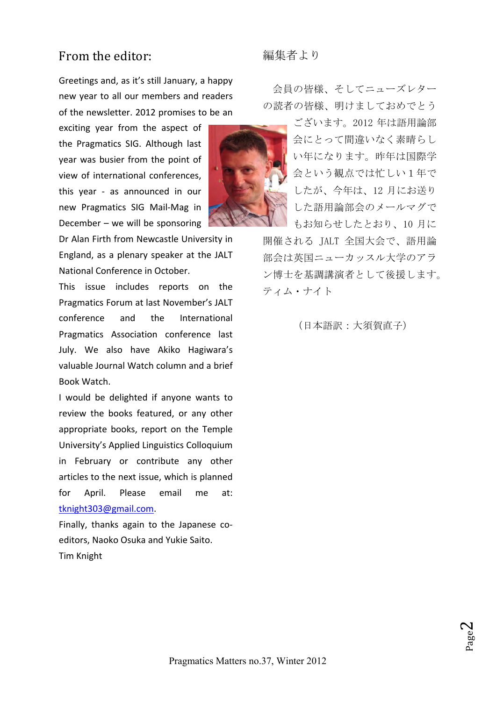#### From the editor:

Greetings and, as it's still January, a happy new vear to all our members and readers of the newsletter. 2012 promises to be an

exciting year from the aspect of the Pragmatics SIG. Although last year was busier from the point of view of international conferences, this year - as announced in our new Pragmatics SIG Mail-Mag in December  $-$  we will be sponsoring

Dr Alan Firth from Newcastle University in England, as a plenary speaker at the JALT National Conference in October.

This issue includes reports on the Pragmatics Forum at last November's JALT conference and the International Pragmatics Association conference last July. We also have Akiko Hagiwara's valuable Journal Watch column and a brief Book 
 Watch. 

I would be delighted if anyone wants to review the books featured, or any other appropriate books, report on the Temple University's Applied Linguistics Colloquium in February or contribute any other articles to the next issue, which is planned for April. Please email me at: tknight303@gmail.com. 

Finally, thanks again to the Japanese coeditors, Naoko Osuka and Yukie Saito. Tim 
 Knight 

編集者より

会員の皆様、そしてニューズレター の読者の皆様、明けましておめでとう



ございます。2012 年は語用論部 会にとって間違いなく素晴らし い年になります。昨年は国際学 会という観点では忙しい1年で したが、今年は、12 月にお送り した語用論部会のメールマグで もお知らせしたとおり、10 月に

開催される JALT 全国大会で、語用論 部会は英国ニューカッスル大学のアラ ン博士を基調講演者として後援します。 ティム・ナイト 

(日本語訳:大須賀直子)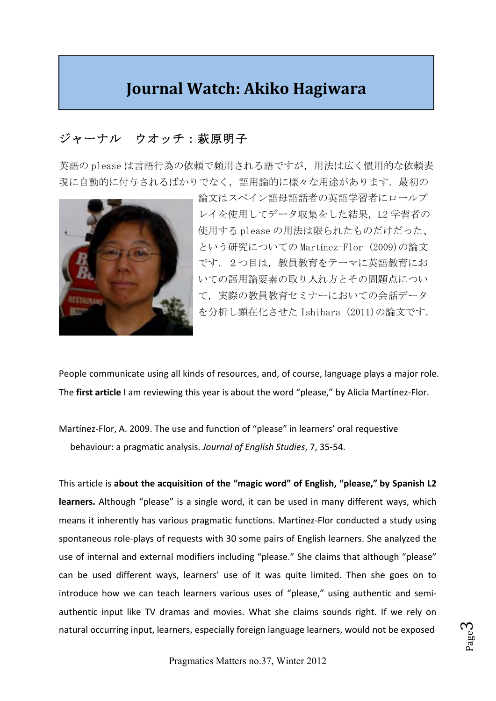## **Journal Watch: Akiko Hagiwara**

### ジャーナル ウオッチ:萩原明子

英語の please は言語行為の依頼で頻用される語ですが,用法は広く慣用的な依頼表 現に自動的に付与されるばかりでなく、語用論的に様々な用途があります。最初の



論文はスペイン語母語話者の英語学習者にロールプ レイを使用してデータ収集をした結果,L2 学習者の 使用する please の用法は限られたものだけだった、 という研究についての Martínez-Flor 
 (2009)の論文 です. 2つ目は、教員教育をテーマに英語教育にお いての語用論要素の取り入れ方とその問題点につい て,実際の教員教育セミナーにおいての会話データ を分析し顕在化させた Ishihara 
 (2011)の論文です. 

People communicate using all kinds of resources, and, of course, language plays a major role. The first article I am reviewing this year is about the word "please," by Alicia Martínez-Flor.

Martínez-Flor, A. 2009. The use and function of "please" in learners' oral requestive behaviour: a pragmatic analysis. Journal of English Studies, 7, 35-54.

This article is about the acquisition of the "magic word" of English, "please," by Spanish L2 learners. Although "please" is a single word, it can be used in many different ways, which means it inherently has various pragmatic functions. Martínez-Flor conducted a study using spontaneous role-plays of requests with 30 some pairs of English learners. She analyzed the use of internal and external modifiers including "please." She claims that although "please" can be used different ways, learners' use of it was quite limited. Then she goes on to introduce how we can teach learners various uses of "please," using authentic and semiauthentic input like TV dramas and movies. What she claims sounds right. If we rely on natural occurring input, learners, especially foreign language learners, would not be exposed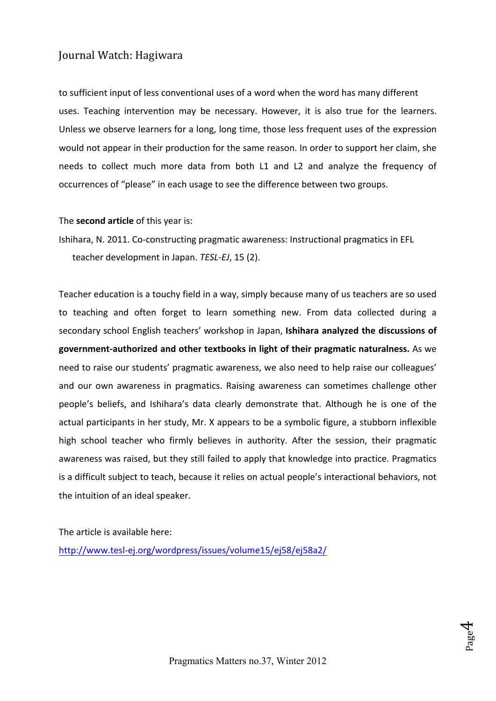#### Journal Watch: Hagiwara

to sufficient input of less conventional uses of a word when the word has many different uses. Teaching intervention may be necessary. However, it is also true for the learners. Unless we observe learners for a long, long time, those less frequent uses of the expression would not appear in their production for the same reason. In order to support her claim, she needs to collect much more data from both L1 and L2 and analyze the frequency of occurrences of "please" in each usage to see the difference between two groups.

The **second article** of this year is:

Ishihara, N. 2011. Co-constructing pragmatic awareness: Instructional pragmatics in EFL teacher development in Japan. TESL-EJ, 15 (2).

Teacher education is a touchy field in a way, simply because many of us teachers are so used to teaching and often forget to learn something new. From data collected during a secondary school English teachers' workshop in Japan, Ishihara analyzed the discussions of government-authorized and other textbooks in light of their pragmatic naturalness. As we need to raise our students' pragmatic awareness, we also need to help raise our colleagues' and our own awareness in pragmatics. Raising awareness can sometimes challenge other people's beliefs, and Ishihara's data clearly demonstrate that. Although he is one of the actual participants in her study, Mr. X appears to be a symbolic figure, a stubborn inflexible high school teacher who firmly believes in authority. After the session, their pragmatic awareness was raised, but they still failed to apply that knowledge into practice. Pragmatics is a difficult subject to teach, because it relies on actual people's interactional behaviors, not the intuition of an ideal speaker.

The article is available here:

http://www.tesl-ej.org/wordpress/issues/volume15/ej58/ej58a2/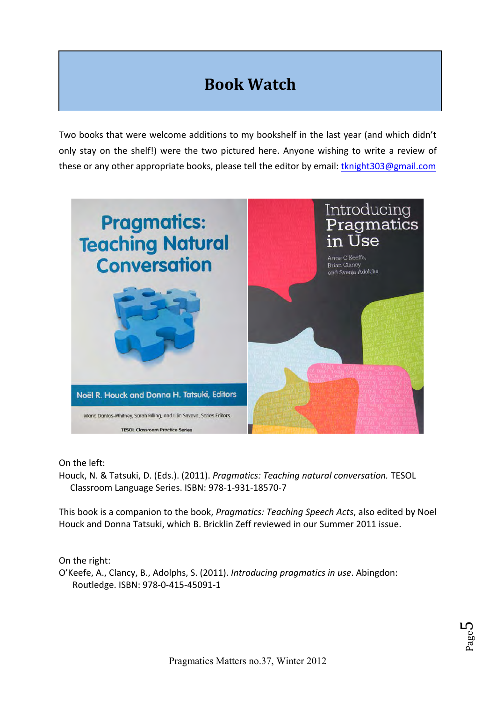# **Book 
 Watch**

Two books that were welcome additions to my bookshelf in the last year (and which didn't only stay on the shelf!) were the two pictured here. Anyone wishing to write a review of these or any other appropriate books, please tell the editor by email: tknight303@gmail.com



On the left:

Houck, N. & Tatsuki, D. (Eds.). (2011). *Pragmatics: Teaching natural conversation.* TESOL Classroom Language Series. ISBN: 978-1-931-18570-7

This book is a companion to the book, *Pragmatics: Teaching Speech Acts*, also edited by Noel Houck and Donna Tatsuki, which B. Bricklin Zeff reviewed in our Summer 2011 issue.

On the right:

O'Keefe, A., Clancy, B., Adolphs, S. (2011). *Introducing pragmatics in use*. Abingdon: Routledge. ISBN: 978-0-415-45091-1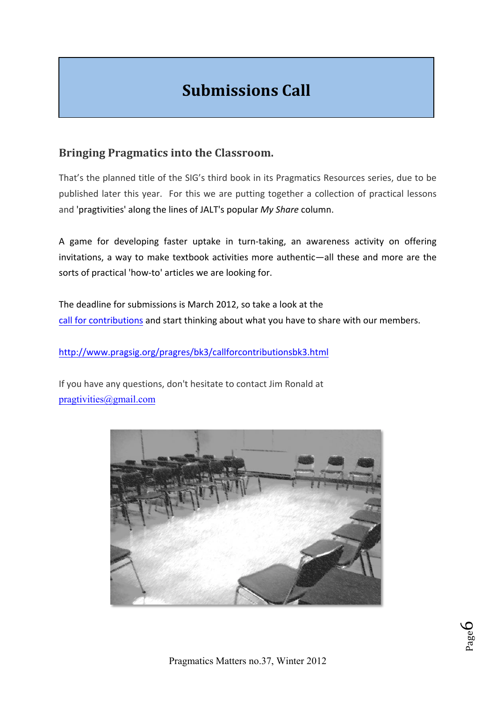# **Submissions Call**

#### **Bringing Pragmatics into the Classroom.**

That's the planned title of the SIG's third book in its Pragmatics Resources series, due to be published later this year. For this we are putting together a collection of practical lessons and 'pragtivities' along the lines of JALT's popular My Share column.

A game for developing faster uptake in turn-taking, an awareness activity on offering invitations, a way to make textbook activities more authentic—all these and more are the sorts of practical 'how-to' articles we are looking for.

The deadline for submissions is March 2012, so take a look at the call for contributions and start thinking about what you have to share with our members.

http://www.pragsig.org/pragres/bk3/callforcontributionsbk3.html

If you have any questions, don't hesitate to contact Jim Ronald at pragtivities@gmail.com

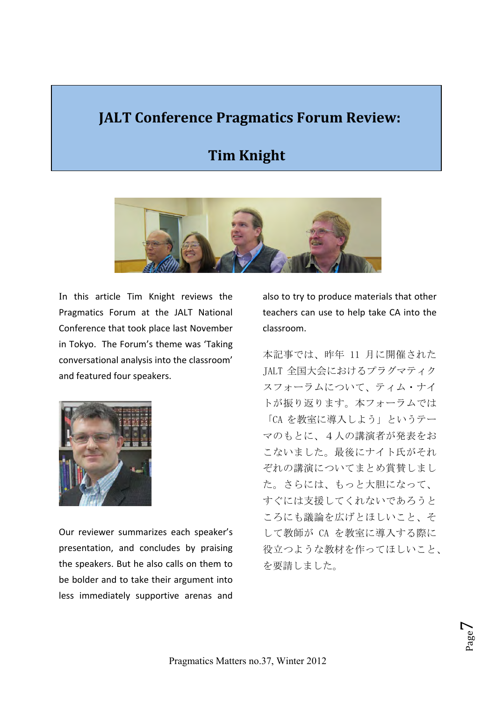## **JALT Conference Pragmatics Forum Review:**

### **Tim Knight**



In this article Tim Knight reviews the Pragmatics Forum at the JALT National Conference that took place last November in Tokyo. The Forum's theme was 'Taking conversational analysis into the classroom' and featured four speakers.



Our reviewer summarizes each speaker's presentation, and concludes by praising the speakers. But he also calls on them to be bolder and to take their argument into less immediately supportive arenas and

also to try to produce materials that other teachers can use to help take CA into the classroom. 

本記事では、昨年 11 月に開催された JALT 全国大会におけるプラグマティク スフォーラムについて、ティム・ナイ トが振り返ります。本フォーラムでは 「CA を教室に導入しよう」というテー マのもとに、4人の講演者が発表をお こないました。最後にナイト氏がそれ ぞれの講演についてまとめ賞賛しまし た。さらには、もっと大胆になって、 すぐには支援してくれないであろうと ころにも議論を広げとほしいこと、そ して教師が CA を教室に導入する際に 役立つような教材を作ってほしいこと、 を要請しました。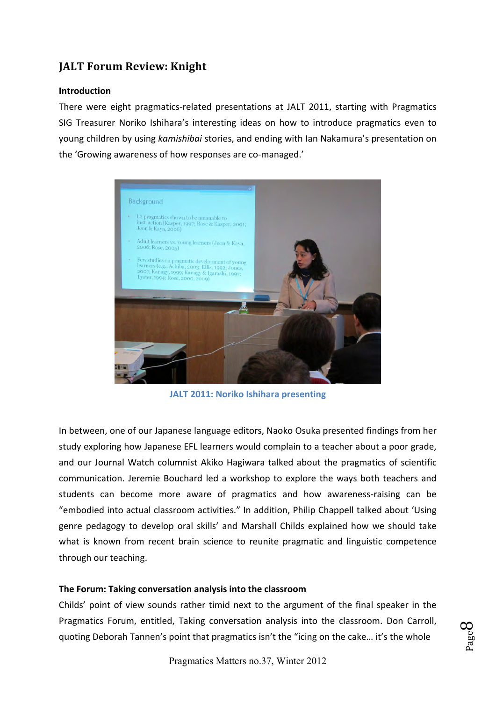#### **Introduction**

There were eight pragmatics-related presentations at JALT 2011, starting with Pragmatics SIG Treasurer Noriko Ishihara's interesting ideas on how to introduce pragmatics even to young children by using kamishibai stories, and ending with Ian Nakamura's presentation on the 'Growing awareness of how responses are co-managed.'



**JALT 2011: Noriko Ishihara presenting** 

In between, one of our Japanese language editors, Naoko Osuka presented findings from her study exploring how Japanese EFL learners would complain to a teacher about a poor grade, and our Journal Watch columnist Akiko Hagiwara talked about the pragmatics of scientific communication. Jeremie Bouchard led a workshop to explore the ways both teachers and students can become more aware of pragmatics and how awareness-raising can be "embodied into actual classroom activities." In addition, Philip Chappell talked about 'Using genre pedagogy to develop oral skills' and Marshall Childs explained how we should take what is known from recent brain science to reunite pragmatic and linguistic competence through our teaching.

#### The Forum: Taking conversation analysis into the classroom

Childs' point of view sounds rather timid next to the argument of the final speaker in the Pragmatics Forum, entitled, Taking conversation analysis into the classroom. Don Carroll, quoting Deborah Tannen's point that pragmatics isn't the "icing on the cake... it's the whole

$$
\mathsf{Page}\,S
$$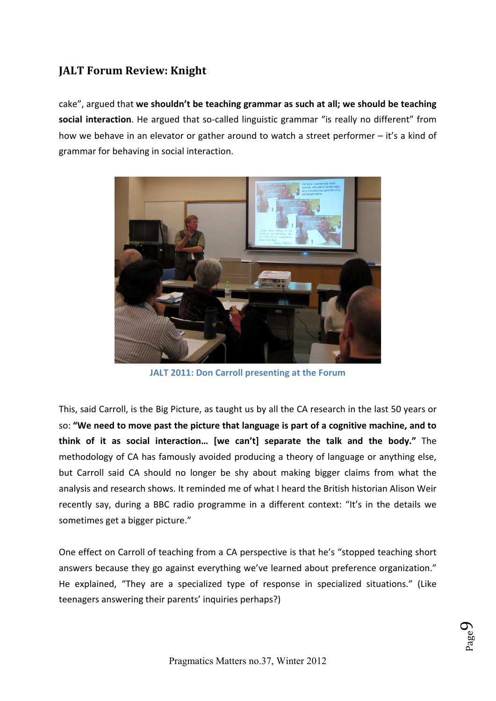cake", argued that we shouldn't be teaching grammar as such at all; we should be teaching social interaction. He argued that so-called linguistic grammar "is really no different" from how we behave in an elevator or gather around to watch a street performer – it's a kind of grammar for behaving in social interaction.



JALT 2011: Don Carroll presenting at the Forum

This, said Carroll, is the Big Picture, as taught us by all the CA research in the last 50 years or so: "We need to move past the picture that language is part of a cognitive machine, and to think of it as social interaction... [we can't] separate the talk and the body." The methodology of CA has famously avoided producing a theory of language or anything else, but Carroll said CA should no longer be shy about making bigger claims from what the analysis and research shows. It reminded me of what I heard the British historian Alison Weir recently say, during a BBC radio programme in a different context: "It's in the details we sometimes get a bigger picture."

One effect on Carroll of teaching from a CA perspective is that he's "stopped teaching short answers because they go against everything we've learned about preference organization." He explained, "They are a specialized type of response in specialized situations." (Like teenagers answering their parents' inquiries perhaps?)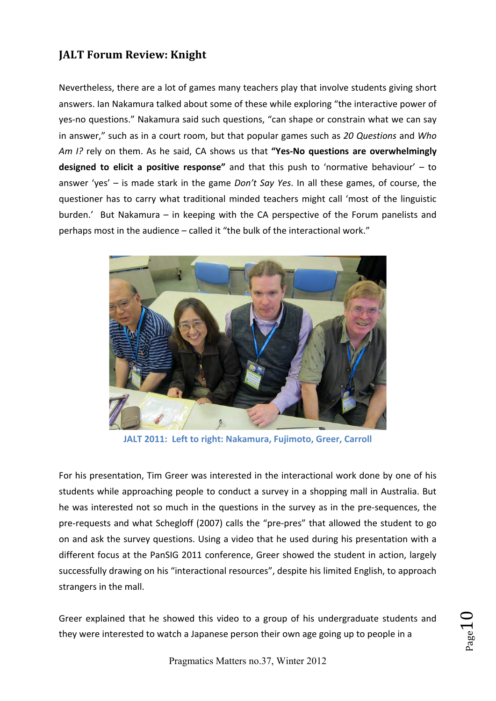Nevertheless, there are a lot of games many teachers play that involve students giving short answers. Ian Nakamura talked about some of these while exploring "the interactive power of yes-no questions." Nakamura said such questions, "can shape or constrain what we can say in answer," such as in a court room, but that popular games such as 20 Questions and Who *Am I?* rely on them. As he said, CA shows us that "Yes-No questions are overwhelmingly **designed to elicit a positive response"** and that this push to 'normative behaviour' – to answer 'yes' – is made stark in the game *Don't Say Yes*. In all these games, of course, the questioner has to carry what traditional minded teachers might call 'most of the linguistic burden.' But Nakamura – in keeping with the CA perspective of the Forum panelists and perhaps most in the audience – called it "the bulk of the interactional work."



JALT 2011: Left to right: Nakamura, Fujimoto, Greer, Carroll

For his presentation, Tim Greer was interested in the interactional work done by one of his students while approaching people to conduct a survey in a shopping mall in Australia. But he was interested not so much in the questions in the survey as in the pre-sequences, the pre-requests and what Schegloff (2007) calls the "pre-pres" that allowed the student to go on and ask the survey questions. Using a video that he used during his presentation with a different focus at the PanSIG 2011 conference, Greer showed the student in action, largely successfully drawing on his "interactional resources", despite his limited English, to approach strangers in the mall.

Greer explained that he showed this video to a group of his undergraduate students and they were interested to watch a Japanese person their own age going up to people in a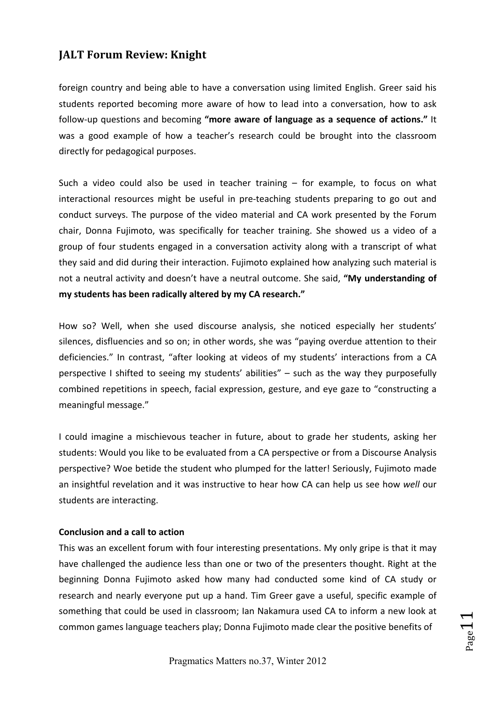foreign country and being able to have a conversation using limited English. Greer said his students reported becoming more aware of how to lead into a conversation, how to ask follow-up questions and becoming "more aware of language as a sequence of actions." It was a good example of how a teacher's research could be brought into the classroom directly for pedagogical purposes.

Such a video could also be used in teacher training  $-$  for example, to focus on what interactional resources might be useful in pre-teaching students preparing to go out and conduct surveys. The purpose of the video material and CA work presented by the Forum chair, Donna Fujimoto, was specifically for teacher training. She showed us a video of a group of four students engaged in a conversation activity along with a transcript of what they said and did during their interaction. Fujimoto explained how analyzing such material is not a neutral activity and doesn't have a neutral outcome. She said, "My understanding of my students has been radically altered by my CA research."

How so? Well, when she used discourse analysis, she noticed especially her students' silences, disfluencies and so on; in other words, she was "paying overdue attention to their deficiencies." In contrast, "after looking at videos of my students' interactions from a CA perspective I shifted to seeing my students' abilities" - such as the way they purposefully combined repetitions in speech, facial expression, gesture, and eye gaze to "constructing a meaningful message."

I could imagine a mischievous teacher in future, about to grade her students, asking her students: Would you like to be evaluated from a CA perspective or from a Discourse Analysis perspective? Woe betide the student who plumped for the latter! Seriously, Fujimoto made an insightful revelation and it was instructive to hear how CA can help us see how well our students are interacting.

#### **Conclusion and a call to action**

This was an excellent forum with four interesting presentations. My only gripe is that it may have challenged the audience less than one or two of the presenters thought. Right at the beginning Donna Fujimoto asked how many had conducted some kind of CA study or research and nearly everyone put up a hand. Tim Greer gave a useful, specific example of something that could be used in classroom; Ian Nakamura used CA to inform a new look at common games language teachers play; Donna Fujimoto made clear the positive benefits of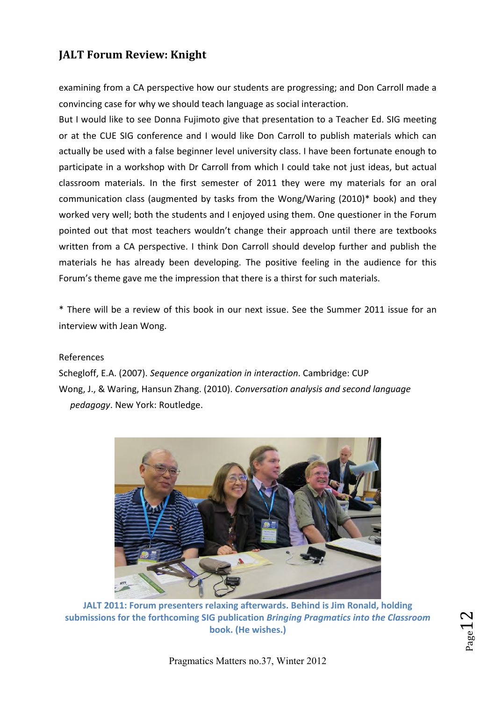examining from a CA perspective how our students are progressing; and Don Carroll made a convincing case for why we should teach language as social interaction.

But I would like to see Donna Fujimoto give that presentation to a Teacher Ed. SIG meeting or at the CUE SIG conference and I would like Don Carroll to publish materials which can actually be used with a false beginner level university class. I have been fortunate enough to participate in a workshop with Dr Carroll from which I could take not just ideas, but actual classroom materials. In the first semester of 2011 they were my materials for an oral communication class (augmented by tasks from the Wong/Waring (2010)\* book) and they worked very well; both the students and I enjoyed using them. One questioner in the Forum pointed out that most teachers wouldn't change their approach until there are textbooks written from a CA perspective. I think Don Carroll should develop further and publish the materials he has already been developing. The positive feeling in the audience for this Forum's theme gave me the impression that there is a thirst for such materials.

\* There will be a review of this book in our next issue. See the Summer 2011 issue for an interview with Jean Wong.

#### References

Schegloff, E.A. (2007). Sequence organization in interaction. Cambridge: CUP Wong, J., & Waring, Hansun Zhang. (2010). Conversation analysis and second language pedagogy. New York: Routledge.



JALT 2011: Forum presenters relaxing afterwards. Behind is Jim Ronald, holding submissions for the forthcoming SIG publication *Bringing Pragmatics into the Classroom* **book. 
 (He 
 wishes.)** 

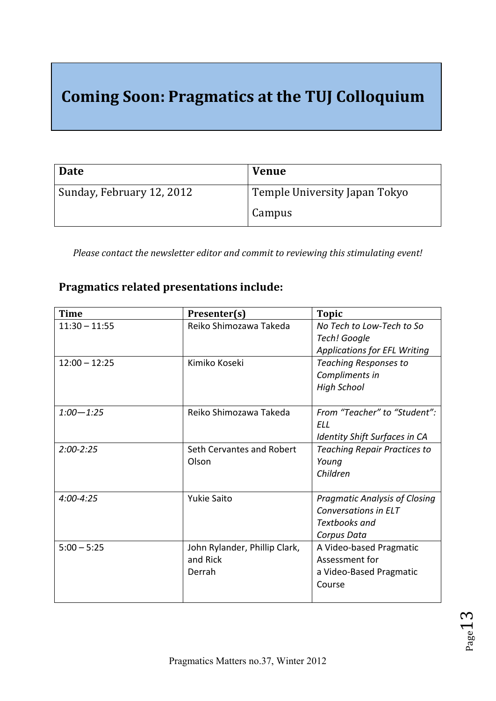# **Coming Soon: Pragmatics at the TUJ Colloquium**

| Date                      | <b>Venue</b>                  |
|---------------------------|-------------------------------|
| Sunday, February 12, 2012 | Temple University Japan Tokyo |
|                           | Campus                        |

Please contact the newsletter editor and commit to reviewing this stimulating event!

#### Pragmatics related presentations include:

| <b>Time</b>     | Presenter(s)                  | <b>Topic</b>                         |
|-----------------|-------------------------------|--------------------------------------|
| $11:30 - 11:55$ | Reiko Shimozawa Takeda        | No Tech to Low-Tech to So            |
|                 |                               | Tech! Google                         |
|                 |                               | <b>Applications for EFL Writing</b>  |
| $12:00 - 12:25$ | Kimiko Koseki                 | <b>Teaching Responses to</b>         |
|                 |                               | Compliments in                       |
|                 |                               | <b>High School</b>                   |
|                 |                               |                                      |
| $1:00 - 1:25$   | Reiko Shimozawa Takeda        | From "Teacher" to "Student":         |
|                 |                               | FLL                                  |
|                 |                               | Identity Shift Surfaces in CA        |
| $2:00 - 2:25$   | Seth Cervantes and Robert     | <b>Teaching Repair Practices to</b>  |
|                 | Olson                         | Young                                |
|                 |                               | Children                             |
|                 |                               |                                      |
| $4:00 - 4:25$   | <b>Yukie Saito</b>            | <b>Pragmatic Analysis of Closing</b> |
|                 |                               | Conversations in ELT                 |
|                 |                               | Textbooks and                        |
|                 |                               | Corpus Data                          |
| $5:00 - 5:25$   | John Rylander, Phillip Clark, | A Video-based Pragmatic              |
|                 | and Rick                      | Assessment for                       |
|                 | Derrah                        | a Video-Based Pragmatic              |
|                 |                               | Course                               |
|                 |                               |                                      |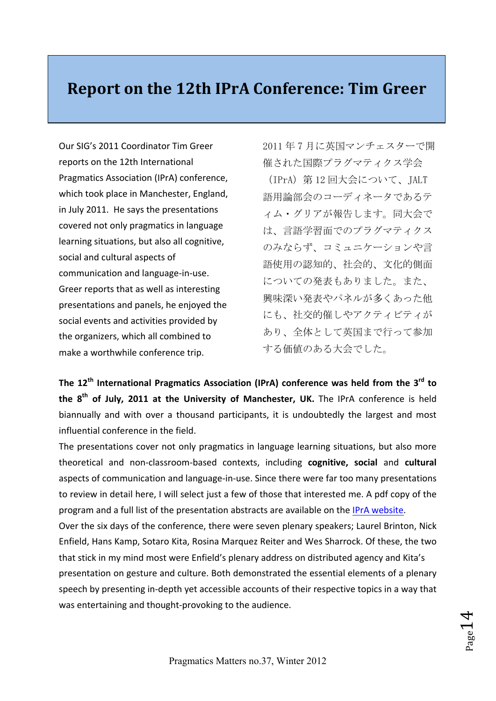## **Report on the 12th IPrA Conference: Tim Greer**

Our SIG's 2011 Coordinator Tim Greer reports on the 12th International Pragmatics Association (IPrA) conference. which took place in Manchester, England, in July 2011. He says the presentations covered not only pragmatics in language learning situations, but also all cognitive, social and cultural aspects of communication and language-in-use. Greer reports that as well as interesting presentations and panels, he enjoyed the social events and activities provided by the organizers, which all combined to make a worthwhile conference trip.

2011 年 7 月に英国マンチェスターで開 催された国際プラグマティクス学会 (IPrA)第 12 回大会について、JALT 語用論部会のコーディネータであるテ ィム・グリアが報告します。同大会で は、言語学習面でのプラグマティクス のみならず、コミュニケーションや言 語使用の認知的、社会的、文化的側面 についての発表もありました。また、 興味深い発表やパネルが多くあった他 にも、社交的催しやアクティビティが あり、全体として英国まで行って参加 する価値のある大会でした。 

The 12<sup>th</sup> International Pragmatics Association (IPrA) conference was held from the 3<sup>rd</sup> to the 8<sup>th</sup> of July, 2011 at the University of Manchester, UK. The IPrA conference is held biannually and with over a thousand participants, it is undoubtedly the largest and most influential conference in the field.

The presentations cover not only pragmatics in language learning situations, but also more theoretical and non-classroom-based contexts, including cognitive, social and cultural aspects of communication and language-in-use. Since there were far too many presentations to review in detail here, I will select just a few of those that interested me. A pdf copy of the program and a full list of the presentation abstracts are available on the IPrA website.

Over the six days of the conference, there were seven plenary speakers; Laurel Brinton, Nick Enfield, Hans Kamp, Sotaro Kita, Rosina Marquez Reiter and Wes Sharrock. Of these, the two that stick in my mind most were Enfield's plenary address on distributed agency and Kita's presentation on gesture and culture. Both demonstrated the essential elements of a plenary speech by presenting in-depth yet accessible accounts of their respective topics in a way that was entertaining and thought-provoking to the audience.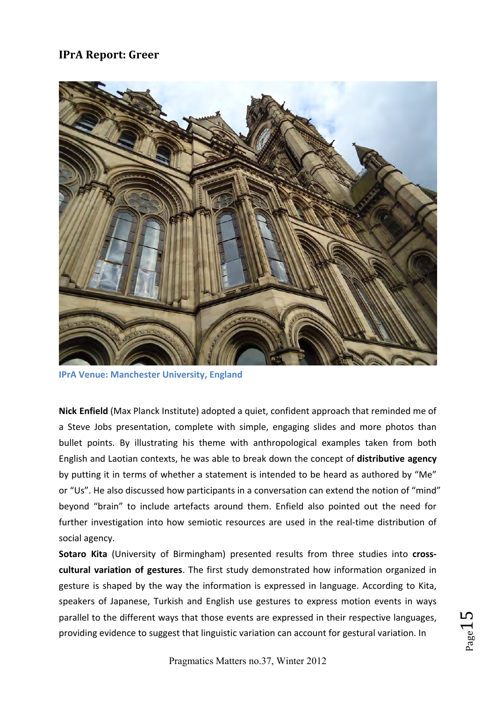#### **IPrA Report: Greer**



**IPrA Venue: Manchester University, England** 

Nick Enfield (Max Planck Institute) adopted a quiet, confident approach that reminded me of a Steve Jobs presentation, complete with simple, engaging slides and more photos than bullet points. By illustrating his theme with anthropological examples taken from both English and Laotian contexts, he was able to break down the concept of **distributive agency** by putting it in terms of whether a statement is intended to be heard as authored by "Me" or "Us". He also discussed how participants in a conversation can extend the notion of "mind" beyond "brain" to include artefacts around them. Enfield also pointed out the need for further investigation into how semiotic resources are used in the real-time distribution of social agency.

**Sotaro Kita** (University of Birmingham) presented results from three studies into crosscultural variation of gestures. The first study demonstrated how information organized in gesture is shaped by the way the information is expressed in language. According to Kita, speakers of Japanese, Turkish and English use gestures to express motion events in ways parallel to the different ways that those events are expressed in their respective languages, providing evidence to suggest that linguistic variation can account for gestural variation. In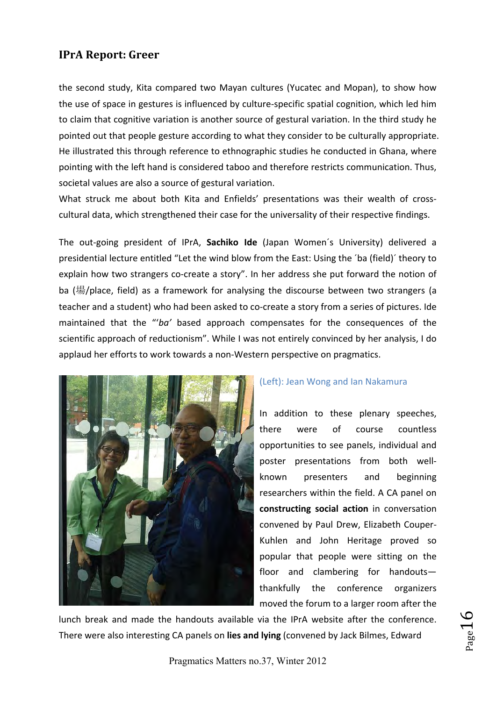#### **IPrA 
 Report: Greer**

the second study, Kita compared two Mayan cultures (Yucatec and Mopan), to show how the use of space in gestures is influenced by culture-specific spatial cognition, which led him to claim that cognitive variation is another source of gestural variation. In the third study he pointed out that people gesture according to what they consider to be culturally appropriate. He illustrated this through reference to ethnographic studies he conducted in Ghana, where pointing with the left hand is considered taboo and therefore restricts communication. Thus, societal values are also a source of gestural variation.

What struck me about both Kita and Enfields' presentations was their wealth of crosscultural data, which strengthened their case for the universality of their respective findings.

The out-going president of IPrA, Sachiko Ide (Japan Women's University) delivered a presidential lecture entitled "Let the wind blow from the East: Using the 'ba (field)' theory to explain how two strangers co-create a story". In her address she put forward the notion of ba (場/place, field) as a framework for analysing the discourse between two strangers (a teacher and a student) who had been asked to co-create a story from a series of pictures. Ide maintained that the "'*ba'* based approach compensates for the consequences of the scientific approach of reductionism". While I was not entirely convinced by her analysis, I do applaud her efforts to work towards a non-Western perspective on pragmatics.



#### (Left): Jean Wong and Ian Nakamura

In addition to these plenary speeches, there were of course countless opportunities to see panels, individual and poster presentations from both wellknown presenters and beginning researchers within the field. A CA panel on constructing social action in conversation convened by Paul Drew, Elizabeth Couper-Kuhlen and John Heritage proved so popular that people were sitting on the floor and clambering for handoutsthankfully the conference organizers moved the forum to a larger room after the

 $P_{\rm age}16$ 

lunch break and made the handouts available via the IPrA website after the conference. There were also interesting CA panels on lies and lying (convened by Jack Bilmes, Edward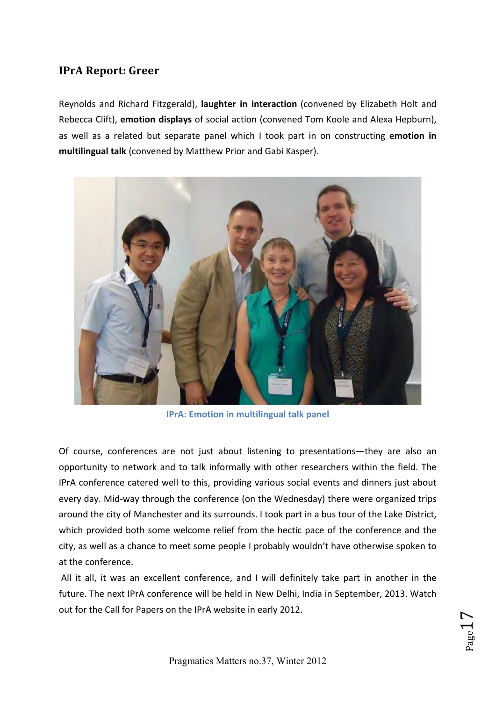#### **IPrA Report: Greer**

Reynolds and Richard Fitzgerald), laughter in interaction (convened by Elizabeth Holt and Rebecca Clift), **emotion displays** of social action (convened Tom Koole and Alexa Hepburn), as well as a related but separate panel which I took part in on constructing emotion in multilingual talk (convened by Matthew Prior and Gabi Kasper).



**IPrA: Emotion in multilingual talk panel** 

Of course, conferences are not just about listening to presentations—they are also an opportunity to network and to talk informally with other researchers within the field. The IPrA conference catered well to this, providing various social events and dinners just about every day. Mid-way through the conference (on the Wednesday) there were organized trips around the city of Manchester and its surrounds. I took part in a bus tour of the Lake District, which provided both some welcome relief from the hectic pace of the conference and the city, as well as a chance to meet some people I probably wouldn't have otherwise spoken to at the conference.

All it all, it was an excellent conference, and I will definitely take part in another in the future. The next IPrA conference will be held in New Delhi, India in September, 2013. Watch out for the Call for Papers on the IPrA website in early 2012.